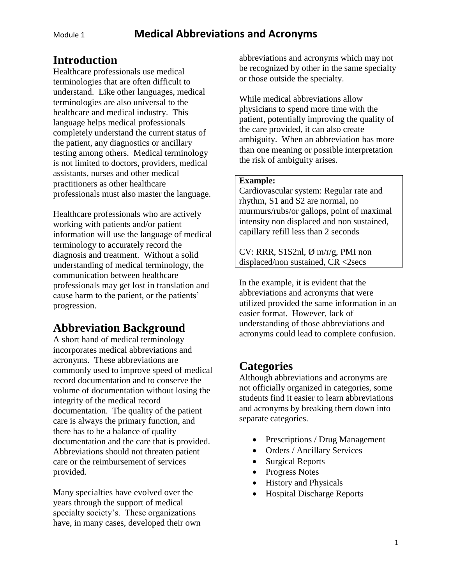#### **Introduction**

Healthcare professionals use medical terminologies that are often difficult to understand. Like other languages, medical terminologies are also universal to the healthcare and medical industry. This language helps medical professionals completely understand the current status of the patient, any diagnostics or ancillary testing among others. Medical terminology is not limited to doctors, providers, medical assistants, nurses and other medical practitioners as other healthcare professionals must also master the language.

Healthcare professionals who are actively working with patients and/or patient information will use the language of medical terminology to accurately record the diagnosis and treatment. Without a solid understanding of medical terminology, the communication between healthcare professionals may get lost in translation and cause harm to the patient, or the patients' progression.

## **Abbreviation Background**

A short hand of medical terminology incorporates medical abbreviations and acronyms. These abbreviations are commonly used to improve speed of medical record documentation and to conserve the volume of documentation without losing the integrity of the medical record documentation. The quality of the patient care is always the primary function, and there has to be a balance of quality documentation and the care that is provided. Abbreviations should not threaten patient care or the reimbursement of services provided.

Many specialties have evolved over the years through the support of medical specialty society's. These organizations have, in many cases, developed their own abbreviations and acronyms which may not be recognized by other in the same specialty or those outside the specialty.

While medical abbreviations allow physicians to spend more time with the patient, potentially improving the quality of the care provided, it can also create ambiguity. When an abbreviation has more than one meaning or possible interpretation the risk of ambiguity arises.

#### **Example:**

Cardiovascular system: Regular rate and rhythm, S1 and S2 are normal, no murmurs/rubs/or gallops, point of maximal intensity non displaced and non sustained, capillary refill less than 2 seconds

CV: RRR, S1S2nl,  $\varnothing$  m/r/g, PMI non displaced/non sustained, CR <2secs

In the example, it is evident that the abbreviations and acronyms that were utilized provided the same information in an easier format. However, lack of understanding of those abbreviations and acronyms could lead to complete confusion.

#### **Categories**

Although abbreviations and acronyms are not officially organized in categories, some students find it easier to learn abbreviations and acronyms by breaking them down into separate categories.

- Prescriptions / Drug Management
- Orders / Ancillary Services
- Surgical Reports
- Progress Notes
- History and Physicals
- Hospital Discharge Reports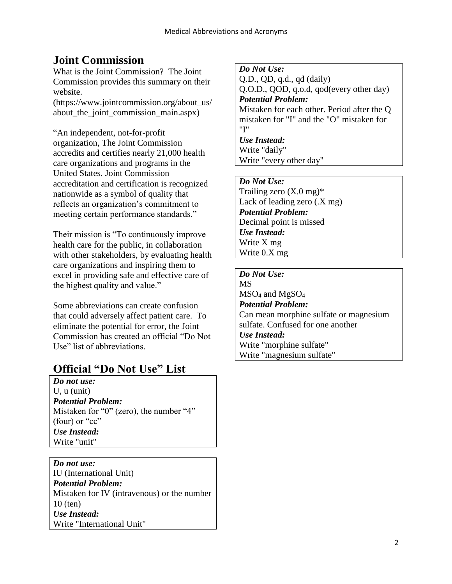# **Joint Commission**

What is the Joint Commission? The Joint Commission provides this summary on their website.

(https://www.jointcommission.org/about\_us/ about\_the\_joint\_commission\_main.aspx)

"An independent, not-for-profit organization, The Joint Commission accredits and certifies nearly 21,000 health care organizations and programs in the United States. Joint Commission accreditation and certification is recognized nationwide as a symbol of quality that reflects an organization's commitment to meeting certain performance standards."

Their mission is "To continuously improve health care for the public, in collaboration with other stakeholders, by evaluating health care organizations and inspiring them to excel in providing safe and effective care of the highest quality and value."

Some abbreviations can create confusion that could adversely affect patient care. To eliminate the potential for error, the Joint Commission has created an official "Do Not Use" list of abbreviations.

## **Official "Do Not Use" List**

*Do not use:*  U, u (unit) *Potential Problem:* Mistaken for "0" (zero), the number "4" (four) or "cc" *Use Instead:* Write "unit"

*Do not use:*  IU (International Unit) *Potential Problem:* Mistaken for IV (intravenous) or the number 10 (ten) *Use Instead:* Write "International Unit"

*Do Not Use:*  Q.D., QD, q.d., qd (daily) Q.O.D., QOD, q.o.d, qod(every other day) *Potential Problem:*  Mistaken for each other. Period after the Q mistaken for "I" and the "O" mistaken for "I" *Use Instead:*  Write "daily" Write "every other day"

*Do Not Use:*  Trailing zero  $(X.0 \text{ mg})^*$ Lack of leading zero (.X mg) *Potential Problem:*  Decimal point is missed *Use Instead:* Write X mg Write 0.X mg

*Do Not Use:*  MS  $MSO<sub>4</sub>$  and  $MgSO<sub>4</sub>$ *Potential Problem:*  Can mean morphine sulfate or magnesium sulfate. Confused for one another *Use Instead:*  Write "morphine sulfate" Write "magnesium sulfate"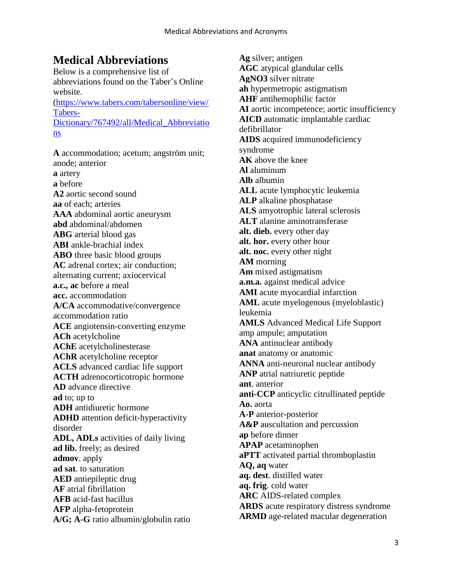#### **Medical Abbreviations**

Below is a comprehensive list of abbreviations found on the Taber's Online website. [\(https://www.tabers.com/tabersonline/view/](https://www.tabers.com/tabersonline/view/Tabers-Dictionary/767492/all/Medical_Abbreviations) [Tabers-](https://www.tabers.com/tabersonline/view/Tabers-Dictionary/767492/all/Medical_Abbreviations)[Dictionary/767492/all/Medical\\_Abbreviatio](https://www.tabers.com/tabersonline/view/Tabers-Dictionary/767492/all/Medical_Abbreviations) [ns](https://www.tabers.com/tabersonline/view/Tabers-Dictionary/767492/all/Medical_Abbreviations)

**A** accommodation; acetum; angström unit; anode; anterior **a** artery **a** before **A2** aortic second sound **aa** of each; arteries **AAA** abdominal aortic aneurysm **abd** abdominal/abdomen **ABG** arterial blood gas **ABI** ankle-brachial index **ABO** three basic blood groups **AC** adrenal cortex; air conduction; alternating current; axiocervical **a.c., ac** before a meal **acc.** accommodation **A/CA** accommodative/convergence accommodation ratio **ACE** angiotensin-converting enzyme **ACh** acetylcholine **AChE** acetylcholinesterase **AChR** acetylcholine receptor **ACLS** advanced cardiac life support **ACTH** adrenocorticotropic hormone **AD** advance directive **ad** to; up to **ADH** antidiuretic hormone **ADHD** attention deficit-hyperactivity disorder **ADL, ADLs** activities of daily living **ad lib.** freely; as desired **admov**. apply **ad sat**. to saturation **AED** antiepileptic drug **AF** atrial fibrillation **AFB** acid-fast bacillus **AFP** alpha-fetoprotein **A/G; A-G** ratio albumin/globulin ratio

**Ag** silver; antigen **AGC** atypical glandular cells **AgNO3** silver nitrate **ah** hypermetropic astigmatism **AHF** antihemophilic factor **AI** aortic incompetence; aortic insufficiency **AICD** automatic implantable cardiac defibrillator **AIDS** acquired immunodeficiency syndrome **AK** above the knee **Al** aluminum **Alb** albumin **ALL** acute lymphocytic leukemia **ALP** alkaline phosphatase **ALS** amyotrophic lateral sclerosis **ALT** alanine aminotransferase **alt. dieb.** every other day **alt. hor.** every other hour **alt. noc.** every other night **AM** morning **Am** mixed astigmatism **a.m.a.** against medical advice **AMI** acute myocardial infarction **AML** acute myelogenous (myeloblastic) leukemia **AMLS** Advanced Medical Life Support amp ampule; amputation **ANA** antinuclear antibody **anat** anatomy or anatomic **ANNA** anti-neuronal nuclear antibody **ANP** atrial natriuretic peptide **ant**. anterior **anti-CCP** anticyclic citrullinated peptide **Ao.** aorta **A-P** anterior-posterior **A&P** auscultation and percussion **ap** before dinner **APAP** acetaminophen **aPTT** activated partial thromboplastin **AQ, aq** water **aq. dest**. distilled water **aq. frig**. cold water **ARC** AIDS-related complex **ARDS** acute respiratory distress syndrome **ARMD** age-related macular degeneration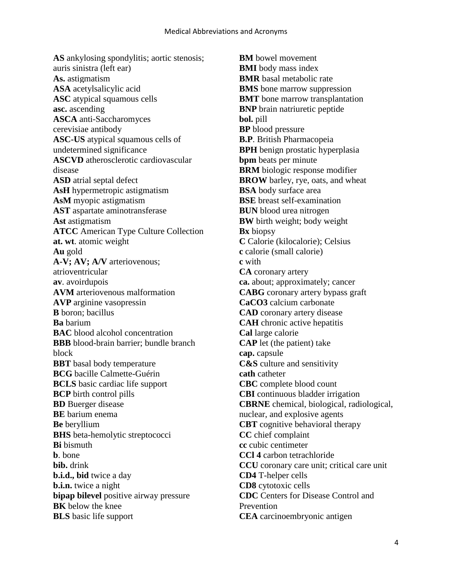**AS** ankylosing spondylitis; aortic stenosis; auris sinistra (left ear) **As.** astigmatism **ASA** acetylsalicylic acid **ASC** atypical squamous cells **asc.** ascending **ASCA** anti-Saccharomyces cerevisiae antibody **ASC-US** atypical squamous cells of undetermined significance **ASCVD** atherosclerotic cardiovascular disease **ASD** atrial septal defect **AsH** hypermetropic astigmatism **AsM** myopic astigmatism **AST** aspartate aminotransferase **Ast** astigmatism **ATCC** American Type Culture Collection **at. wt**. atomic weight **Au** gold **A-V; AV; A/V** arteriovenous; atrioventricular **av**. avoirdupois **AVM** arteriovenous malformation **AVP** arginine vasopressin **B** boron; bacillus **Ba** barium **BAC** blood alcohol concentration **BBB** blood-brain barrier; bundle branch block **BBT** basal body temperature **BCG** bacille Calmette-Guérin **BCLS** basic cardiac life support **BCP** birth control pills **BD** Buerger disease **BE** barium enema **Be** beryllium **BHS** beta-hemolytic streptococci **Bi** bismuth **b**. bone **bib.** drink **b.i.d., bid** twice a day **b.i.n.** twice a night **bipap bilevel** positive airway pressure **BK** below the knee **BLS** basic life support

**BM** bowel movement **BMI** body mass index **BMR** basal metabolic rate **BMS** bone marrow suppression **BMT** bone marrow transplantation **BNP** brain natriuretic peptide **bol.** pill **BP** blood pressure **B.P**. British Pharmacopeia **BPH** benign prostatic hyperplasia **bpm** beats per minute **BRM** biologic response modifier **BROW** barley, rye, oats, and wheat **BSA** body surface area **BSE** breast self-examination **BUN** blood urea nitrogen **BW** birth weight; body weight **Bx** biopsy **C** Calorie (kilocalorie); Celsius **c** calorie (small calorie) **c** with **CA** coronary artery **ca.** about; approximately; cancer **CABG** coronary artery bypass graft **CaCO3** calcium carbonate **CAD** coronary artery disease **CAH** chronic active hepatitis **Cal** large calorie **CAP** let (the patient) take **cap.** capsule **C&S** culture and sensitivity **cath** catheter **CBC** complete blood count **CBI** continuous bladder irrigation **CBRNE** chemical, biological, radiological, nuclear, and explosive agents **CBT** cognitive behavioral therapy **CC** chief complaint **cc** cubic centimeter **CCl 4** carbon tetrachloride **CCU** coronary care unit; critical care unit **CD4** T-helper cells **CD8** cytotoxic cells **CDC** Centers for Disease Control and Prevention **CEA** carcinoembryonic antigen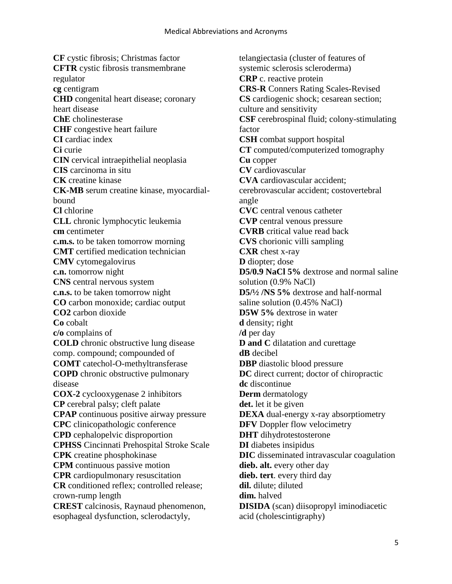**CF** cystic fibrosis; Christmas factor **CFTR** cystic fibrosis transmembrane regulator **cg** centigram **CHD** congenital heart disease; coronary heart disease **ChE** cholinesterase **CHF** congestive heart failure **CI** cardiac index **Ci** curie **CIN** cervical intraepithelial neoplasia **CIS** carcinoma in situ **CK** creatine kinase **CK-MB** serum creatine kinase, myocardialbound **Cl** chlorine **CLL** chronic lymphocytic leukemia **cm** centimeter **c.m.s.** to be taken tomorrow morning **CMT** certified medication technician **CMV** cytomegalovirus **c.n.** tomorrow night **CNS** central nervous system **c.n.s.** to be taken tomorrow night **CO** carbon monoxide; cardiac output **CO2** carbon dioxide **Co** cobalt **c/o** complains of **COLD** chronic obstructive lung disease comp. compound; compounded of **COMT** catechol-O-methyltransferase **COPD** chronic obstructive pulmonary disease **COX-2** cyclooxygenase 2 inhibitors **CP** cerebral palsy; cleft palate **CPAP** continuous positive airway pressure **CPC** clinicopathologic conference **CPD** cephalopelvic disproportion **CPHSS** Cincinnati Prehospital Stroke Scale **CPK** creatine phosphokinase **CPM** continuous passive motion **CPR** cardiopulmonary resuscitation **CR** conditioned reflex; controlled release; crown-rump length **CREST** calcinosis, Raynaud phenomenon, esophageal dysfunction, sclerodactyly,

telangiectasia (cluster of features of systemic sclerosis scleroderma) **CRP** c. reactive protein **CRS-R** Conners Rating Scales-Revised **CS** cardiogenic shock; cesarean section; culture and sensitivity **CSF** cerebrospinal fluid; colony-stimulating factor **CSH** combat support hospital **CT** computed/computerized tomography **Cu** copper **CV** cardiovascular **CVA** cardiovascular accident; cerebrovascular accident; costovertebral angle **CVC** central venous catheter **CVP** central venous pressure **CVRB** critical value read back **CVS** chorionic villi sampling **CXR** chest x-ray **D** diopter; dose **D5/0.9 NaCl 5%** dextrose and normal saline solution (0.9% NaCl) **D5/½ /NS 5%** dextrose and half-normal saline solution (0.45% NaCl) **D5W 5%** dextrose in water **d** density; right **/d** per day **D and C** dilatation and curettage **dB** decibel **DBP** diastolic blood pressure **DC** direct current; doctor of chiropractic **dc** discontinue **Derm** dermatology **det.** let it be given **DEXA** dual-energy x-ray absorptiometry **DFV** Doppler flow velocimetry **DHT** dihydrotestosterone **DI** diabetes insipidus **DIC** disseminated intravascular coagulation **dieb. alt.** every other day **dieb. tert**. every third day **dil.** dilute; diluted **dim.** halved **DISIDA** (scan) diisopropyl iminodiacetic acid (cholescintigraphy)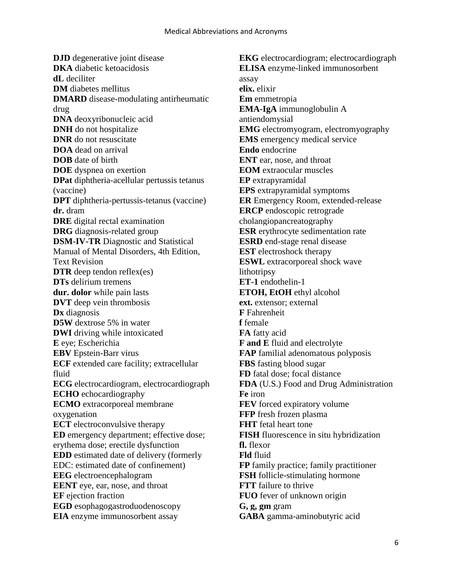**DJD** degenerative joint disease **DKA** diabetic ketoacidosis **dL** deciliter **DM** diabetes mellitus **DMARD** disease-modulating antirheumatic drug **DNA** deoxyribonucleic acid **DNH** do not hospitalize **DNR** do not resuscitate **DOA** dead on arrival **DOB** date of birth **DOE** dyspnea on exertion **DPat** diphtheria-acellular pertussis tetanus (vaccine) **DPT** diphtheria-pertussis-tetanus (vaccine) **dr.** dram **DRE** digital rectal examination **DRG** diagnosis-related group **DSM-IV-TR** Diagnostic and Statistical Manual of Mental Disorders, 4th Edition, Text Revision **DTR** deep tendon reflex(es) **DTs** delirium tremens **dur. dolor** while pain lasts **DVT** deep vein thrombosis **Dx** diagnosis **D5W** dextrose 5% in water **DWI** driving while intoxicated **E** eye; Escherichia **EBV** Epstein-Barr virus **ECF** extended care facility; extracellular fluid **ECG** electrocardiogram, electrocardiograph **ECHO** echocardiography **ECMO** extracorporeal membrane oxygenation **ECT** electroconvulsive therapy **ED** emergency department; effective dose; erythema dose; erectile dysfunction **EDD** estimated date of delivery (formerly EDC: estimated date of confinement) **EEG** electroencephalogram **EENT** eye, ear, nose, and throat **EF** ejection fraction **EGD** esophagogastroduodenoscopy **EIA** enzyme immunosorbent assay

**EKG** electrocardiogram; electrocardiograph **ELISA** enzyme-linked immunosorbent assay **elix.** elixir **Em** emmetropia **EMA-IgA** immunoglobulin A antiendomysial **EMG** electromyogram, electromyography **EMS** emergency medical service **Endo** endocrine **ENT** ear, nose, and throat **EOM** extraocular muscles **EP** extrapyramidal **EPS** extrapyramidal symptoms **ER** Emergency Room, extended-release **ERCP** endoscopic retrograde cholangiopancreatography **ESR** erythrocyte sedimentation rate **ESRD** end-stage renal disease **EST** electroshock therapy **ESWL** extracorporeal shock wave lithotripsy **ET-1** endothelin-1 **ETOH, EtOH** ethyl alcohol **ext.** extensor; external **F** Fahrenheit **f** female **FA** fatty acid **F and E** fluid and electrolyte **FAP** familial adenomatous polyposis **FBS** fasting blood sugar **FD** fatal dose; focal distance **FDA** (U.S.) Food and Drug Administration **Fe** iron **FEV** forced expiratory volume **FFP** fresh frozen plasma **FHT** fetal heart tone **FISH** fluorescence in situ hybridization **fl.** flexor **Fld** fluid **FP** family practice; family practitioner **FSH** follicle-stimulating hormone **FTT** failure to thrive **FUO** fever of unknown origin **G, g, gm** gram **GABA** gamma-aminobutyric acid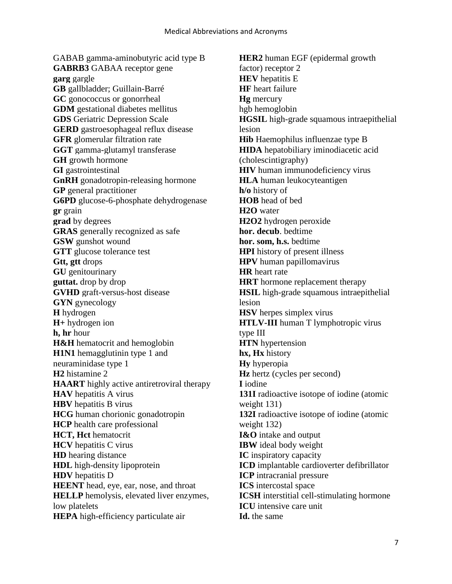GABAB gamma-aminobutyric acid type B **GABRB3** GABAA receptor gene **garg** gargle **GB** gallbladder; Guillain-Barré **GC** gonococcus or gonorrheal **GDM** gestational diabetes mellitus **GDS** Geriatric Depression Scale **GERD** gastroesophageal reflux disease **GFR** glomerular filtration rate **GGT** gamma-glutamyl transferase **GH** growth hormone **GI** gastrointestinal **GnRH** gonadotropin-releasing hormone **GP** general practitioner **G6PD** glucose-6-phosphate dehydrogenase **gr** grain **grad** by degrees **GRAS** generally recognized as safe **GSW** gunshot wound **GTT** glucose tolerance test **Gtt, gtt** drops **GU** genitourinary **guttat.** drop by drop **GVHD** graft-versus-host disease **GYN** gynecology **H** hydrogen **H+** hydrogen ion **h, hr** hour **H&H** hematocrit and hemoglobin **H1N1** hemagglutinin type 1 and neuraminidase type 1 **H2** histamine 2 **HAART** highly active antiretroviral therapy **HAV** hepatitis A virus **HBV** hepatitis B virus **HCG** human chorionic gonadotropin **HCP** health care professional **HCT, Hct** hematocrit **HCV** hepatitis C virus **HD** hearing distance **HDL** high-density lipoprotein **HDV** hepatitis D **HEENT** head, eye, ear, nose, and throat **HELLP** hemolysis, elevated liver enzymes, low platelets **HEPA** high-efficiency particulate air

**HER2** human EGF (epidermal growth factor) receptor 2 **HEV** hepatitis E **HF** heart failure **Hg** mercury hgb hemoglobin **HGSIL** high-grade squamous intraepithelial lesion **Hib** Haemophilus influenzae type B **HIDA** hepatobiliary iminodiacetic acid (cholescintigraphy) **HIV** human immunodeficiency virus **HLA** human leukocyteantigen **h/o** history of **HOB** head of bed **H2O** water **H2O2** hydrogen peroxide **hor. decub**. bedtime **hor. som, h.s.** bedtime **HPI** history of present illness **HPV** human papillomavirus **HR** heart rate **HRT** hormone replacement therapy **HSIL** high-grade squamous intraepithelial lesion **HSV** herpes simplex virus **HTLV-III** human T lymphotropic virus type III **HTN** hypertension **hx, Hx** history **Hy** hyperopia **Hz** hertz (cycles per second) **I** iodine **131I** radioactive isotope of iodine (atomic weight 131) **132I** radioactive isotope of iodine (atomic weight 132) **I&O** intake and output **IBW** ideal body weight **IC** inspiratory capacity **ICD** implantable cardioverter defibrillator **ICP** intracranial pressure **ICS** intercostal space **ICSH** interstitial cell-stimulating hormone **ICU** intensive care unit **Id.** the same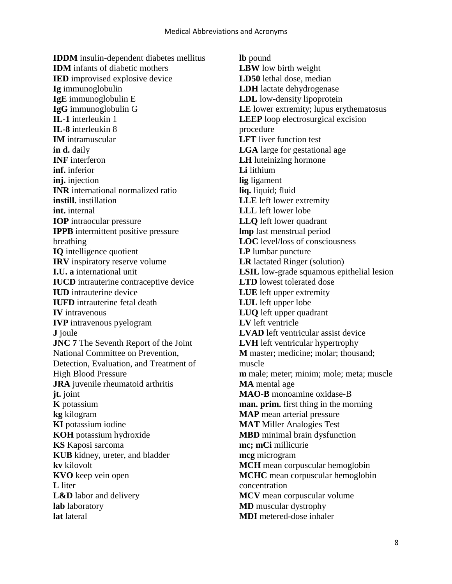**IDDM** insulin-dependent diabetes mellitus **IDM** infants of diabetic mothers **IED** improvised explosive device **Ig** immunoglobulin **IgE** immunoglobulin E **IgG** immunoglobulin G **IL-1** interleukin 1 **IL-8** interleukin 8 **IM** intramuscular **in d.** daily **INF** interferon **inf.** inferior **inj.** injection **INR** international normalized ratio **instill.** instillation **int.** internal **IOP** intraocular pressure **IPPB** intermittent positive pressure breathing **IQ** intelligence quotient **IRV** inspiratory reserve volume **I.U. a** international unit **IUCD** intrauterine contraceptive device **IUD** intrauterine device **IUFD** intrauterine fetal death **IV** intravenous **IVP** intravenous pyelogram **J** joule **JNC 7** The Seventh Report of the Joint National Committee on Prevention, Detection, Evaluation, and Treatment of High Blood Pressure **JRA** juvenile rheumatoid arthritis **jt.** joint **K** potassium **kg** kilogram **KI** potassium iodine **KOH** potassium hydroxide **KS** Kaposi sarcoma **KUB** kidney, ureter, and bladder **kv** kilovolt **KVO** keep vein open **L** liter **L&D** labor and delivery **lab** laboratory **lat** lateral

**lb** pound **LBW** low birth weight **LD50** lethal dose, median **LDH** lactate dehydrogenase **LDL** low-density lipoprotein **LE** lower extremity; lupus erythematosus **LEEP** loop electrosurgical excision procedure **LFT** liver function test **LGA** large for gestational age **LH** luteinizing hormone **Li** lithium **lig** ligament **liq.** liquid; fluid **LLE** left lower extremity **LLL** left lower lobe **LLQ** left lower quadrant **lmp** last menstrual period **LOC** level/loss of consciousness **LP** lumbar puncture **LR** lactated Ringer (solution) **LSIL** low-grade squamous epithelial lesion **LTD** lowest tolerated dose **LUE** left upper extremity **LUL** left upper lobe **LUQ** left upper quadrant **LV** left ventricle **LVAD** left ventricular assist device **LVH** left ventricular hypertrophy **M** master; medicine; molar; thousand; muscle **m** male; meter; minim; mole; meta; muscle **MA** mental age **MAO-B** monoamine oxidase-B **man. prim.** first thing in the morning **MAP** mean arterial pressure **MAT** Miller Analogies Test **MBD** minimal brain dysfunction **mc; mCi** millicurie **mcg** microgram **MCH** mean corpuscular hemoglobin **MCHC** mean corpuscular hemoglobin concentration **MCV** mean corpuscular volume **MD** muscular dystrophy **MDI** metered-dose inhaler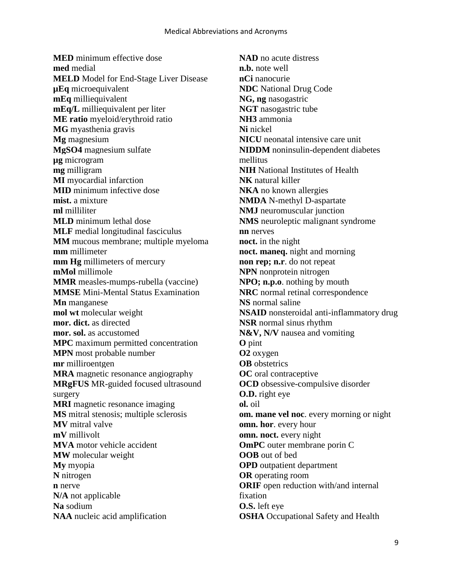**MED** minimum effective dose **med** medial **MELD** Model for End-Stage Liver Disease **µEq** microequivalent **mEq** milliequivalent **mEq/L** milliequivalent per liter **ME ratio** myeloid/erythroid ratio **MG** myasthenia gravis **Mg** magnesium **MgSO4** magnesium sulfate **µg** microgram **mg** milligram **MI** myocardial infarction **MID** minimum infective dose **mist.** a mixture **ml** milliliter **MLD** minimum lethal dose **MLF** medial longitudinal fasciculus **MM** mucous membrane; multiple myeloma **mm** millimeter **mm Hg** millimeters of mercury **mMol** millimole **MMR** measles-mumps-rubella (vaccine) **MMSE** Mini-Mental Status Examination **Mn** manganese **mol wt** molecular weight **mor. dict.** as directed **mor. sol.** as accustomed **MPC** maximum permitted concentration **MPN** most probable number **mr** milliroentgen **MRA** magnetic resonance angiography **MRgFUS** MR-guided focused ultrasound surgery **MRI** magnetic resonance imaging **MS** mitral stenosis; multiple sclerosis **MV** mitral valve **mV** millivolt **MVA** motor vehicle accident **MW** molecular weight **My** myopia **N** nitrogen **n** nerve **N/A** not applicable **Na** sodium **NAA** nucleic acid amplification

**NAD** no acute distress **n.b.** note well **nCi** nanocurie **NDC** National Drug Code **NG, ng** nasogastric **NGT** nasogastric tube **NH3** ammonia **Ni** nickel **NICU** neonatal intensive care unit **NIDDM** noninsulin-dependent diabetes mellitus **NIH** National Institutes of Health **NK** natural killer **NKA** no known allergies **NMDA** N-methyl D-aspartate **NMJ** neuromuscular junction **NMS** neuroleptic malignant syndrome **nn** nerves **noct.** in the night **noct. maneq.** night and morning **non rep; n.r**. do not repeat **NPN** nonprotein nitrogen **NPO; n.p.o**. nothing by mouth **NRC** normal retinal correspondence **NS** normal saline **NSAID** nonsteroidal anti-inflammatory drug **NSR** normal sinus rhythm **N&V, N/V** nausea and vomiting **O** pint **O2** oxygen **OB** obstetrics **OC** oral contraceptive **OCD** obsessive-compulsive disorder **O.D.** right eye **ol.** oil **om. mane vel noc**. every morning or night **omn. hor**. every hour **omn. noct.** every night **OmPC** outer membrane porin C **OOB** out of bed **OPD** outpatient department **OR** operating room **ORIF** open reduction with/and internal fixation **O.S.** left eye **OSHA** Occupational Safety and Health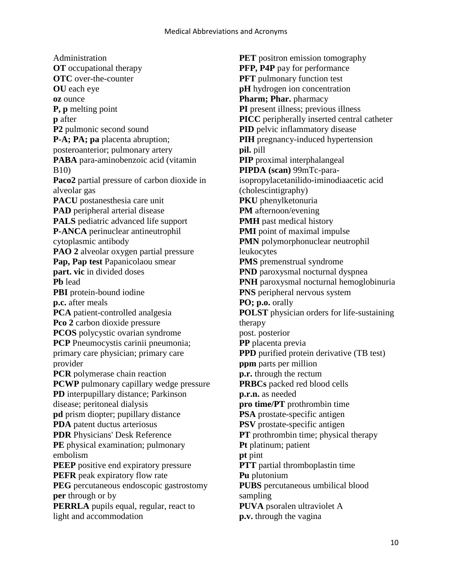Administration **OT** occupational therapy **OTC** over-the-counter **OU** each eye **oz** ounce **P, p** melting point **p** after **P2** pulmonic second sound **P-A; PA; pa** placenta abruption; posteroanterior; pulmonary artery **PABA** para-aminobenzoic acid (vitamin B10) **Paco2** partial pressure of carbon dioxide in alveolar gas **PACU** postanesthesia care unit **PAD** peripheral arterial disease **PALS** pediatric advanced life support **P-ANCA** perinuclear antineutrophil cytoplasmic antibody **PAO 2** alveolar oxygen partial pressure **Pap, Pap test** Papanicolaou smear **part. vic** in divided doses **Pb** lead **PBI** protein-bound iodine **p.c.** after meals **PCA** patient-controlled analgesia **Pco 2** carbon dioxide pressure **PCOS** polycystic ovarian syndrome **PCP** Pneumocystis carinii pneumonia; primary care physician; primary care provider **PCR** polymerase chain reaction **PCWP** pulmonary capillary wedge pressure **PD** interpupillary distance; Parkinson disease; peritoneal dialysis **pd** prism diopter; pupillary distance **PDA** patent ductus arteriosus **PDR** Physicians' Desk Reference **PE** physical examination; pulmonary embolism **PEEP** positive end expiratory pressure **PEFR** peak expiratory flow rate **PEG** percutaneous endoscopic gastrostomy **per** through or by **PERRLA** pupils equal, regular, react to light and accommodation

**PET** positron emission tomography **PFP, P4P** pay for performance **PFT** pulmonary function test **pH** hydrogen ion concentration **Pharm; Phar.** pharmacy **PI** present illness; previous illness **PICC** peripherally inserted central catheter **PID** pelvic inflammatory disease **PIH** pregnancy-induced hypertension **pil.** pill **PIP** proximal interphalangeal **PIPDA (scan)** 99mTc-paraisopropylacetanilido-iminodiaacetic acid (cholescintigraphy) **PKU** phenylketonuria **PM** afternoon/evening **PMH** past medical history **PMI** point of maximal impulse **PMN** polymorphonuclear neutrophil leukocytes **PMS** premenstrual syndrome **PND** paroxysmal nocturnal dyspnea **PNH** paroxysmal nocturnal hemoglobinuria **PNS** peripheral nervous system **PO; p.o.** orally **POLST** physician orders for life-sustaining therapy post. posterior **PP** placenta previa **PPD** purified protein derivative (TB test) **ppm** parts per million **p.r.** through the rectum **PRBCs** packed red blood cells **p.r.n.** as needed **pro time/PT** prothrombin time **PSA** prostate-specific antigen **PSV** prostate-specific antigen **PT** prothrombin time; physical therapy **Pt** platinum; patient **pt** pint **PTT** partial thromboplastin time **Pu** plutonium **PUBS** percutaneous umbilical blood sampling **PUVA** psoralen ultraviolet A **p.v.** through the vagina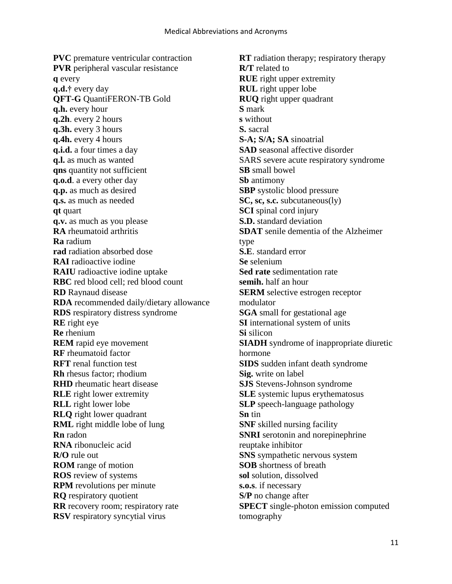**PVC** premature ventricular contraction **PVR** peripheral vascular resistance **q** every **q.d.†** every day **QFT-G** QuantiFERON-TB Gold **q.h.** every hour **q.2h**. every 2 hours **q.3h.** every 3 hours **q.4h.** every 4 hours **q.i.d.** a four times a day **q.l.** as much as wanted **qns** quantity not sufficient **q.o.d**. a every other day **q.p.** as much as desired **q.s.** as much as needed **qt** quart **q.v.** as much as you please **RA** rheumatoid arthritis **Ra** radium **rad** radiation absorbed dose **RAI** radioactive iodine **RAIU** radioactive iodine uptake **RBC** red blood cell; red blood count **RD** Raynaud disease **RDA** recommended daily/dietary allowance **RDS** respiratory distress syndrome **RE** right eye **Re** rhenium **REM** rapid eye movement **RF** rheumatoid factor **RFT** renal function test **Rh** rhesus factor; rhodium **RHD** rheumatic heart disease **RLE** right lower extremity **RLL** right lower lobe **RLQ** right lower quadrant **RML** right middle lobe of lung **Rn** radon **RNA** ribonucleic acid **R/O** rule out **ROM** range of motion **ROS** review of systems **RPM** revolutions per minute **RQ** respiratory quotient **RR** recovery room; respiratory rate **RSV** respiratory syncytial virus

**RT** radiation therapy; respiratory therapy **R/T** related to **RUE** right upper extremity **RUL** right upper lobe **RUQ** right upper quadrant **S** mark **s** without **S.** sacral **S-A; S/A; SA** sinoatrial **SAD** seasonal affective disorder SARS severe acute respiratory syndrome **SB** small bowel **Sb** antimony **SBP** systolic blood pressure **SC, sc, s.c.** subcutaneous(ly) **SCI** spinal cord injury **S.D.** standard deviation **SDAT** senile dementia of the Alzheimer type **S.E**. standard error **Se** selenium **Sed rate** sedimentation rate **semih.** half an hour **SERM** selective estrogen receptor modulator **SGA** small for gestational age **SI** international system of units **Si** silicon **SIADH** syndrome of inappropriate diuretic hormone **SIDS** sudden infant death syndrome **Sig.** write on label **SJS** Stevens-Johnson syndrome **SLE** systemic lupus erythematosus **SLP** speech-language pathology **Sn** tin **SNF** skilled nursing facility **SNRI** serotonin and norepinephrine reuptake inhibitor **SNS** sympathetic nervous system **SOB** shortness of breath **sol** solution, dissolved **s.o.s**. if necessary **S/P** no change after **SPECT** single-photon emission computed tomography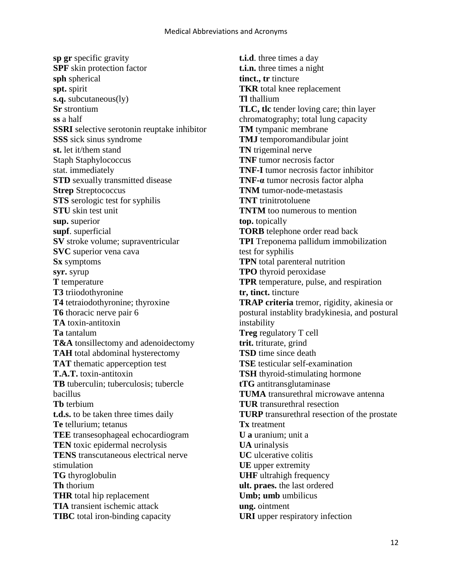**sp gr** specific gravity **SPF** skin protection factor **sph** spherical **spt.** spirit **s.q.** subcutaneous(ly) **Sr** strontium **ss** a half **SSRI** selective serotonin reuptake inhibitor **SSS** sick sinus syndrome **st.** let it/them stand Staph Staphylococcus stat. immediately **STD** sexually transmitted disease **Strep** Streptococcus **STS** serologic test for syphilis **STU** skin test unit **sup.** superior **supf**. superficial **SV** stroke volume; supraventricular **SVC** superior vena cava **Sx** symptoms **syr.** syrup **T** temperature **T3** triiodothyronine **T4** tetraiodothyronine; thyroxine **T6** thoracic nerve pair 6 **TA** toxin-antitoxin **Ta** tantalum **T&A** tonsillectomy and adenoidectomy **TAH** total abdominal hysterectomy **TAT** thematic apperception test **T.A.T.** toxin-antitoxin **TB** tuberculin; tuberculosis; tubercle bacillus **Tb** terbium **t.d.s.** to be taken three times daily **Te** tellurium; tetanus **TEE** transesophageal echocardiogram **TEN** toxic epidermal necrolysis **TENS** transcutaneous electrical nerve stimulation **TG** thyroglobulin **Th** thorium **THR** total hip replacement **TIA** transient ischemic attack **TIBC** total iron-binding capacity

**t.i.d**. three times a day **t.i.n.** three times a night **tinct., tr** tincture **TKR** total knee replacement **Tl** thallium **TLC, tlc** tender loving care; thin layer chromatography; total lung capacity **TM** tympanic membrane **TMJ** temporomandibular joint **TN** trigeminal nerve **TNF** tumor necrosis factor **TNF-I** tumor necrosis factor inhibitor **TNF-α** tumor necrosis factor alpha **TNM** tumor-node-metastasis **TNT** trinitrotoluene **TNTM** too numerous to mention **top.** topically **TORB** telephone order read back **TPI** Treponema pallidum immobilization test for syphilis **TPN** total parenteral nutrition **TPO** thyroid peroxidase **TPR** temperature, pulse, and respiration **tr, tinct.** tincture **TRAP criteria** tremor, rigidity, akinesia or postural instablity bradykinesia, and postural instability **Treg** regulatory T cell **trit.** triturate, grind **TSD** time since death **TSE** testicular self-examination **TSH** thyroid-stimulating hormone **tTG** antitransglutaminase **TUMA** transurethral microwave antenna **TUR** transurethral resection **TURP** transurethral resection of the prostate **Tx** treatment **U a** uranium; unit a **UA** urinalysis **UC** ulcerative colitis **UE** upper extremity **UHF** ultrahigh frequency **ult. praes.** the last ordered **Umb; umb** umbilicus **ung.** ointment **URI** upper respiratory infection